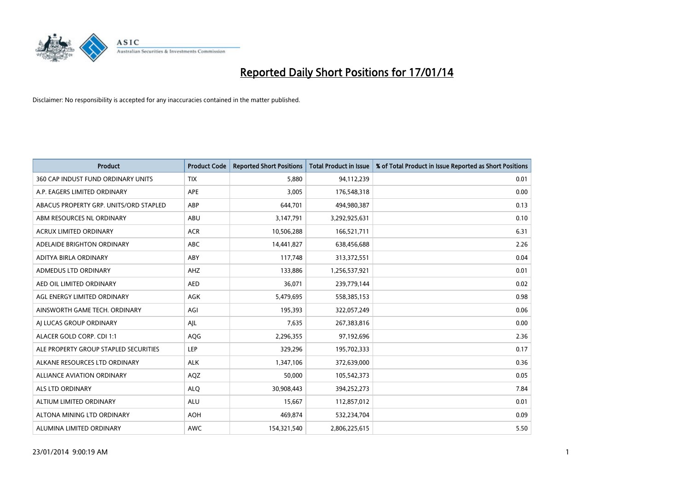

| <b>Product</b>                         | <b>Product Code</b> | <b>Reported Short Positions</b> | <b>Total Product in Issue</b> | % of Total Product in Issue Reported as Short Positions |
|----------------------------------------|---------------------|---------------------------------|-------------------------------|---------------------------------------------------------|
| 360 CAP INDUST FUND ORDINARY UNITS     | <b>TIX</b>          | 5,880                           | 94,112,239                    | 0.01                                                    |
| A.P. EAGERS LIMITED ORDINARY           | APE                 | 3,005                           | 176,548,318                   | 0.00                                                    |
| ABACUS PROPERTY GRP. UNITS/ORD STAPLED | ABP                 | 644,701                         | 494,980,387                   | 0.13                                                    |
| ABM RESOURCES NL ORDINARY              | ABU                 | 3,147,791                       | 3,292,925,631                 | 0.10                                                    |
| <b>ACRUX LIMITED ORDINARY</b>          | <b>ACR</b>          | 10,506,288                      | 166,521,711                   | 6.31                                                    |
| ADELAIDE BRIGHTON ORDINARY             | <b>ABC</b>          | 14,441,827                      | 638,456,688                   | 2.26                                                    |
| ADITYA BIRLA ORDINARY                  | <b>ABY</b>          | 117,748                         | 313,372,551                   | 0.04                                                    |
| ADMEDUS LTD ORDINARY                   | AHZ                 | 133,886                         | 1,256,537,921                 | 0.01                                                    |
| AED OIL LIMITED ORDINARY               | <b>AED</b>          | 36,071                          | 239,779,144                   | 0.02                                                    |
| AGL ENERGY LIMITED ORDINARY            | <b>AGK</b>          | 5,479,695                       | 558,385,153                   | 0.98                                                    |
| AINSWORTH GAME TECH. ORDINARY          | AGI                 | 195,393                         | 322,057,249                   | 0.06                                                    |
| AI LUCAS GROUP ORDINARY                | AJL                 | 7,635                           | 267,383,816                   | 0.00                                                    |
| ALACER GOLD CORP. CDI 1:1              | AQG                 | 2,296,355                       | 97,192,696                    | 2.36                                                    |
| ALE PROPERTY GROUP STAPLED SECURITIES  | LEP                 | 329,296                         | 195,702,333                   | 0.17                                                    |
| ALKANE RESOURCES LTD ORDINARY          | <b>ALK</b>          | 1,347,106                       | 372,639,000                   | 0.36                                                    |
| ALLIANCE AVIATION ORDINARY             | AQZ                 | 50,000                          | 105,542,373                   | 0.05                                                    |
| ALS LTD ORDINARY                       | <b>ALQ</b>          | 30,908,443                      | 394,252,273                   | 7.84                                                    |
| ALTIUM LIMITED ORDINARY                | ALU                 | 15,667                          | 112,857,012                   | 0.01                                                    |
| ALTONA MINING LTD ORDINARY             | <b>AOH</b>          | 469,874                         | 532,234,704                   | 0.09                                                    |
| ALUMINA LIMITED ORDINARY               | <b>AWC</b>          | 154,321,540                     | 2,806,225,615                 | 5.50                                                    |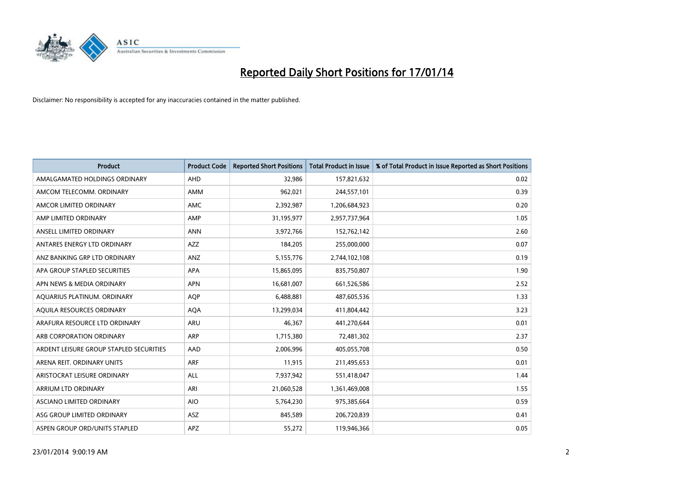

| <b>Product</b>                          | <b>Product Code</b> | <b>Reported Short Positions</b> | <b>Total Product in Issue</b> | % of Total Product in Issue Reported as Short Positions |
|-----------------------------------------|---------------------|---------------------------------|-------------------------------|---------------------------------------------------------|
| AMALGAMATED HOLDINGS ORDINARY           | <b>AHD</b>          | 32,986                          | 157,821,632                   | 0.02                                                    |
| AMCOM TELECOMM, ORDINARY                | AMM                 | 962,021                         | 244,557,101                   | 0.39                                                    |
| AMCOR LIMITED ORDINARY                  | <b>AMC</b>          | 2,392,987                       | 1,206,684,923                 | 0.20                                                    |
| AMP LIMITED ORDINARY                    | AMP                 | 31,195,977                      | 2,957,737,964                 | 1.05                                                    |
| ANSELL LIMITED ORDINARY                 | <b>ANN</b>          | 3,972,766                       | 152,762,142                   | 2.60                                                    |
| ANTARES ENERGY LTD ORDINARY             | <b>AZZ</b>          | 184,205                         | 255,000,000                   | 0.07                                                    |
| ANZ BANKING GRP LTD ORDINARY            | ANZ                 | 5,155,776                       | 2,744,102,108                 | 0.19                                                    |
| APA GROUP STAPLED SECURITIES            | <b>APA</b>          | 15,865,095                      | 835,750,807                   | 1.90                                                    |
| APN NEWS & MEDIA ORDINARY               | <b>APN</b>          | 16,681,007                      | 661,526,586                   | 2.52                                                    |
| AOUARIUS PLATINUM. ORDINARY             | <b>AOP</b>          | 6,488,881                       | 487,605,536                   | 1.33                                                    |
| AQUILA RESOURCES ORDINARY               | <b>AQA</b>          | 13,299,034                      | 411,804,442                   | 3.23                                                    |
| ARAFURA RESOURCE LTD ORDINARY           | ARU                 | 46,367                          | 441,270,644                   | 0.01                                                    |
| ARB CORPORATION ORDINARY                | <b>ARP</b>          | 1,715,380                       | 72,481,302                    | 2.37                                                    |
| ARDENT LEISURE GROUP STAPLED SECURITIES | AAD                 | 2,006,996                       | 405,055,708                   | 0.50                                                    |
| ARENA REIT. ORDINARY UNITS              | <b>ARF</b>          | 11,915                          | 211,495,653                   | 0.01                                                    |
| ARISTOCRAT LEISURE ORDINARY             | ALL                 | 7,937,942                       | 551,418,047                   | 1.44                                                    |
| ARRIUM LTD ORDINARY                     | ARI                 | 21,060,528                      | 1,361,469,008                 | 1.55                                                    |
| ASCIANO LIMITED ORDINARY                | <b>AIO</b>          | 5,764,230                       | 975,385,664                   | 0.59                                                    |
| ASG GROUP LIMITED ORDINARY              | <b>ASZ</b>          | 845,589                         | 206,720,839                   | 0.41                                                    |
| ASPEN GROUP ORD/UNITS STAPLED           | APZ                 | 55,272                          | 119,946,366                   | 0.05                                                    |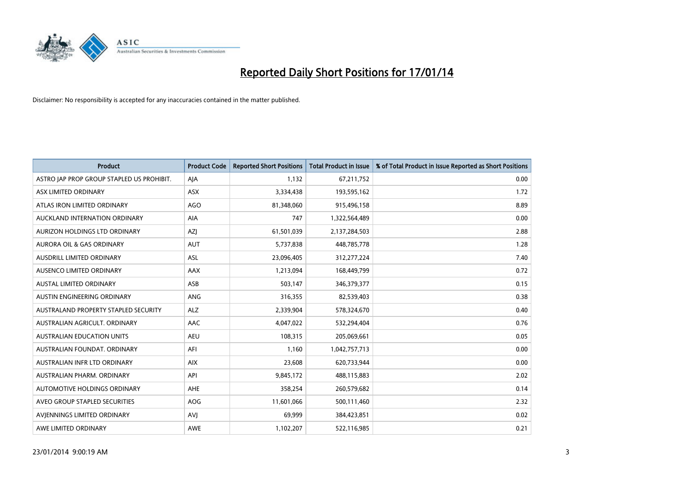

| <b>Product</b>                            | <b>Product Code</b> | <b>Reported Short Positions</b> | <b>Total Product in Issue</b> | % of Total Product in Issue Reported as Short Positions |
|-------------------------------------------|---------------------|---------------------------------|-------------------------------|---------------------------------------------------------|
| ASTRO JAP PROP GROUP STAPLED US PROHIBIT. | AJA                 | 1,132                           | 67,211,752                    | 0.00                                                    |
| ASX LIMITED ORDINARY                      | ASX                 | 3,334,438                       | 193,595,162                   | 1.72                                                    |
| ATLAS IRON LIMITED ORDINARY               | AGO                 | 81,348,060                      | 915,496,158                   | 8.89                                                    |
| AUCKLAND INTERNATION ORDINARY             | <b>AIA</b>          | 747                             | 1,322,564,489                 | 0.00                                                    |
| AURIZON HOLDINGS LTD ORDINARY             | AZJ                 | 61,501,039                      | 2,137,284,503                 | 2.88                                                    |
| <b>AURORA OIL &amp; GAS ORDINARY</b>      | <b>AUT</b>          | 5,737,838                       | 448,785,778                   | 1.28                                                    |
| AUSDRILL LIMITED ORDINARY                 | <b>ASL</b>          | 23,096,405                      | 312,277,224                   | 7.40                                                    |
| AUSENCO LIMITED ORDINARY                  | AAX                 | 1,213,094                       | 168,449,799                   | 0.72                                                    |
| <b>AUSTAL LIMITED ORDINARY</b>            | ASB                 | 503,147                         | 346,379,377                   | 0.15                                                    |
| AUSTIN ENGINEERING ORDINARY               | ANG                 | 316,355                         | 82,539,403                    | 0.38                                                    |
| AUSTRALAND PROPERTY STAPLED SECURITY      | <b>ALZ</b>          | 2,339,904                       | 578,324,670                   | 0.40                                                    |
| AUSTRALIAN AGRICULT, ORDINARY             | AAC                 | 4,047,022                       | 532,294,404                   | 0.76                                                    |
| <b>AUSTRALIAN EDUCATION UNITS</b>         | <b>AEU</b>          | 108,315                         | 205,069,661                   | 0.05                                                    |
| AUSTRALIAN FOUNDAT, ORDINARY              | AFI                 | 1,160                           | 1,042,757,713                 | 0.00                                                    |
| AUSTRALIAN INFR LTD ORDINARY              | <b>AIX</b>          | 23,608                          | 620,733,944                   | 0.00                                                    |
| AUSTRALIAN PHARM. ORDINARY                | API                 | 9,845,172                       | 488,115,883                   | 2.02                                                    |
| AUTOMOTIVE HOLDINGS ORDINARY              | AHE                 | 358,254                         | 260,579,682                   | 0.14                                                    |
| AVEO GROUP STAPLED SECURITIES             | <b>AOG</b>          | 11,601,066                      | 500,111,460                   | 2.32                                                    |
| AVIENNINGS LIMITED ORDINARY               | <b>AVI</b>          | 69,999                          | 384,423,851                   | 0.02                                                    |
| AWE LIMITED ORDINARY                      | <b>AWE</b>          | 1,102,207                       | 522,116,985                   | 0.21                                                    |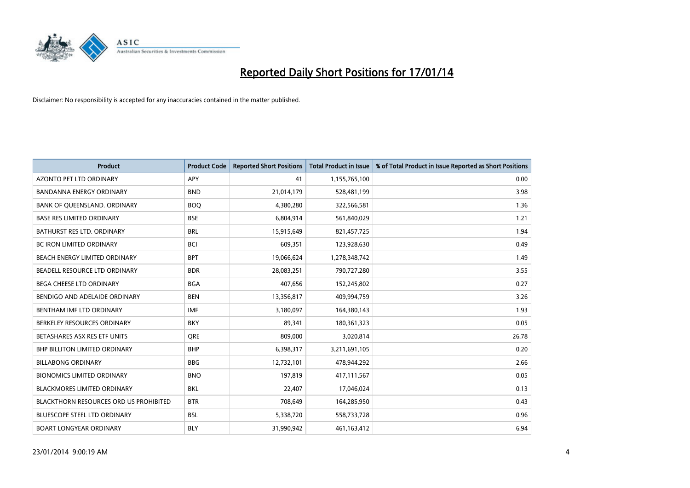

| <b>Product</b>                         | <b>Product Code</b> | <b>Reported Short Positions</b> | <b>Total Product in Issue</b> | % of Total Product in Issue Reported as Short Positions |
|----------------------------------------|---------------------|---------------------------------|-------------------------------|---------------------------------------------------------|
| <b>AZONTO PET LTD ORDINARY</b>         | APY                 | 41                              | 1,155,765,100                 | 0.00                                                    |
| BANDANNA ENERGY ORDINARY               | <b>BND</b>          | 21,014,179                      | 528,481,199                   | 3.98                                                    |
| BANK OF QUEENSLAND. ORDINARY           | <b>BOQ</b>          | 4,380,280                       | 322,566,581                   | 1.36                                                    |
| <b>BASE RES LIMITED ORDINARY</b>       | <b>BSE</b>          | 6,804,914                       | 561,840,029                   | 1.21                                                    |
| <b>BATHURST RES LTD. ORDINARY</b>      | <b>BRL</b>          | 15,915,649                      | 821,457,725                   | 1.94                                                    |
| <b>BC IRON LIMITED ORDINARY</b>        | <b>BCI</b>          | 609,351                         | 123,928,630                   | 0.49                                                    |
| BEACH ENERGY LIMITED ORDINARY          | <b>BPT</b>          | 19,066,624                      | 1,278,348,742                 | 1.49                                                    |
| BEADELL RESOURCE LTD ORDINARY          | <b>BDR</b>          | 28,083,251                      | 790,727,280                   | 3.55                                                    |
| <b>BEGA CHEESE LTD ORDINARY</b>        | <b>BGA</b>          | 407,656                         | 152,245,802                   | 0.27                                                    |
| BENDIGO AND ADELAIDE ORDINARY          | <b>BEN</b>          | 13,356,817                      | 409,994,759                   | 3.26                                                    |
| BENTHAM IMF LTD ORDINARY               | <b>IMF</b>          | 3,180,097                       | 164,380,143                   | 1.93                                                    |
| BERKELEY RESOURCES ORDINARY            | <b>BKY</b>          | 89,341                          | 180,361,323                   | 0.05                                                    |
| BETASHARES ASX RES ETF UNITS           | <b>ORE</b>          | 809,000                         | 3,020,814                     | 26.78                                                   |
| <b>BHP BILLITON LIMITED ORDINARY</b>   | <b>BHP</b>          | 6,398,317                       | 3,211,691,105                 | 0.20                                                    |
| <b>BILLABONG ORDINARY</b>              | <b>BBG</b>          | 12,732,101                      | 478,944,292                   | 2.66                                                    |
| <b>BIONOMICS LIMITED ORDINARY</b>      | <b>BNO</b>          | 197,819                         | 417,111,567                   | 0.05                                                    |
| BLACKMORES LIMITED ORDINARY            | <b>BKL</b>          | 22,407                          | 17,046,024                    | 0.13                                                    |
| BLACKTHORN RESOURCES ORD US PROHIBITED | <b>BTR</b>          | 708,649                         | 164,285,950                   | 0.43                                                    |
| <b>BLUESCOPE STEEL LTD ORDINARY</b>    | <b>BSL</b>          | 5,338,720                       | 558,733,728                   | 0.96                                                    |
| <b>BOART LONGYEAR ORDINARY</b>         | <b>BLY</b>          | 31,990,942                      | 461,163,412                   | 6.94                                                    |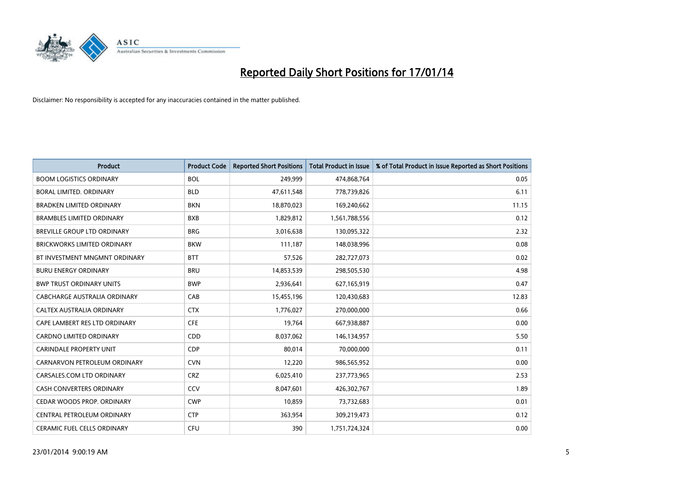

| <b>Product</b>                     | <b>Product Code</b> | <b>Reported Short Positions</b> | <b>Total Product in Issue</b> | % of Total Product in Issue Reported as Short Positions |
|------------------------------------|---------------------|---------------------------------|-------------------------------|---------------------------------------------------------|
| <b>BOOM LOGISTICS ORDINARY</b>     | <b>BOL</b>          | 249,999                         | 474,868,764                   | 0.05                                                    |
| BORAL LIMITED. ORDINARY            | <b>BLD</b>          | 47,611,548                      | 778,739,826                   | 6.11                                                    |
| <b>BRADKEN LIMITED ORDINARY</b>    | <b>BKN</b>          | 18,870,023                      | 169,240,662                   | 11.15                                                   |
| <b>BRAMBLES LIMITED ORDINARY</b>   | <b>BXB</b>          | 1,829,812                       | 1,561,788,556                 | 0.12                                                    |
| <b>BREVILLE GROUP LTD ORDINARY</b> | <b>BRG</b>          | 3,016,638                       | 130,095,322                   | 2.32                                                    |
| <b>BRICKWORKS LIMITED ORDINARY</b> | <b>BKW</b>          | 111,187                         | 148,038,996                   | 0.08                                                    |
| BT INVESTMENT MNGMNT ORDINARY      | <b>BTT</b>          | 57,526                          | 282,727,073                   | 0.02                                                    |
| <b>BURU ENERGY ORDINARY</b>        | <b>BRU</b>          | 14,853,539                      | 298,505,530                   | 4.98                                                    |
| <b>BWP TRUST ORDINARY UNITS</b>    | <b>BWP</b>          | 2,936,641                       | 627,165,919                   | 0.47                                                    |
| CABCHARGE AUSTRALIA ORDINARY       | CAB                 | 15,455,196                      | 120,430,683                   | 12.83                                                   |
| CALTEX AUSTRALIA ORDINARY          | <b>CTX</b>          | 1,776,027                       | 270,000,000                   | 0.66                                                    |
| CAPE LAMBERT RES LTD ORDINARY      | <b>CFE</b>          | 19,764                          | 667,938,887                   | 0.00                                                    |
| CARDNO LIMITED ORDINARY            | CDD                 | 8,037,062                       | 146,134,957                   | 5.50                                                    |
| <b>CARINDALE PROPERTY UNIT</b>     | <b>CDP</b>          | 80,014                          | 70,000,000                    | 0.11                                                    |
| CARNARVON PETROLEUM ORDINARY       | <b>CVN</b>          | 12,220                          | 986,565,952                   | 0.00                                                    |
| CARSALES.COM LTD ORDINARY          | <b>CRZ</b>          | 6,025,410                       | 237,773,965                   | 2.53                                                    |
| CASH CONVERTERS ORDINARY           | CCV                 | 8,047,601                       | 426,302,767                   | 1.89                                                    |
| CEDAR WOODS PROP. ORDINARY         | <b>CWP</b>          | 10,859                          | 73,732,683                    | 0.01                                                    |
| CENTRAL PETROLEUM ORDINARY         | <b>CTP</b>          | 363,954                         | 309,219,473                   | 0.12                                                    |
| <b>CERAMIC FUEL CELLS ORDINARY</b> | <b>CFU</b>          | 390                             | 1,751,724,324                 | 0.00                                                    |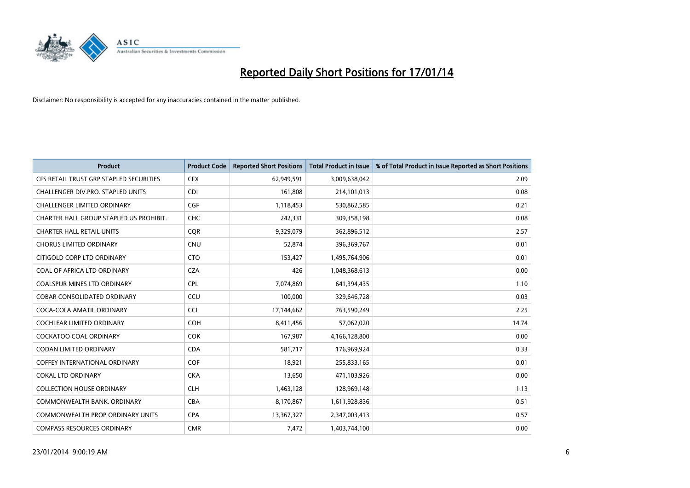

| <b>Product</b>                          | <b>Product Code</b> | <b>Reported Short Positions</b> | <b>Total Product in Issue</b> | % of Total Product in Issue Reported as Short Positions |
|-----------------------------------------|---------------------|---------------------------------|-------------------------------|---------------------------------------------------------|
| CFS RETAIL TRUST GRP STAPLED SECURITIES | <b>CFX</b>          | 62,949,591                      | 3,009,638,042                 | 2.09                                                    |
| CHALLENGER DIV.PRO. STAPLED UNITS       | <b>CDI</b>          | 161,808                         | 214,101,013                   | 0.08                                                    |
| <b>CHALLENGER LIMITED ORDINARY</b>      | <b>CGF</b>          | 1,118,453                       | 530,862,585                   | 0.21                                                    |
| CHARTER HALL GROUP STAPLED US PROHIBIT. | <b>CHC</b>          | 242,331                         | 309,358,198                   | 0.08                                                    |
| <b>CHARTER HALL RETAIL UNITS</b>        | <b>COR</b>          | 9,329,079                       | 362,896,512                   | 2.57                                                    |
| <b>CHORUS LIMITED ORDINARY</b>          | CNU                 | 52,874                          | 396,369,767                   | 0.01                                                    |
| CITIGOLD CORP LTD ORDINARY              | <b>CTO</b>          | 153,427                         | 1,495,764,906                 | 0.01                                                    |
| COAL OF AFRICA LTD ORDINARY             | <b>CZA</b>          | 426                             | 1,048,368,613                 | 0.00                                                    |
| <b>COALSPUR MINES LTD ORDINARY</b>      | <b>CPL</b>          | 7,074,869                       | 641,394,435                   | 1.10                                                    |
| <b>COBAR CONSOLIDATED ORDINARY</b>      | CCU                 | 100,000                         | 329,646,728                   | 0.03                                                    |
| COCA-COLA AMATIL ORDINARY               | <b>CCL</b>          | 17,144,662                      | 763,590,249                   | 2.25                                                    |
| <b>COCHLEAR LIMITED ORDINARY</b>        | <b>COH</b>          | 8,411,456                       | 57,062,020                    | 14.74                                                   |
| COCKATOO COAL ORDINARY                  | <b>COK</b>          | 167,987                         | 4,166,128,800                 | 0.00                                                    |
| <b>CODAN LIMITED ORDINARY</b>           | <b>CDA</b>          | 581,717                         | 176,969,924                   | 0.33                                                    |
| COFFEY INTERNATIONAL ORDINARY           | COF                 | 18,921                          | 255,833,165                   | 0.01                                                    |
| <b>COKAL LTD ORDINARY</b>               | <b>CKA</b>          | 13,650                          | 471,103,926                   | 0.00                                                    |
| <b>COLLECTION HOUSE ORDINARY</b>        | <b>CLH</b>          | 1,463,128                       | 128,969,148                   | 1.13                                                    |
| COMMONWEALTH BANK, ORDINARY             | <b>CBA</b>          | 8,170,867                       | 1,611,928,836                 | 0.51                                                    |
| <b>COMMONWEALTH PROP ORDINARY UNITS</b> | <b>CPA</b>          | 13,367,327                      | 2,347,003,413                 | 0.57                                                    |
| <b>COMPASS RESOURCES ORDINARY</b>       | <b>CMR</b>          | 7,472                           | 1,403,744,100                 | 0.00                                                    |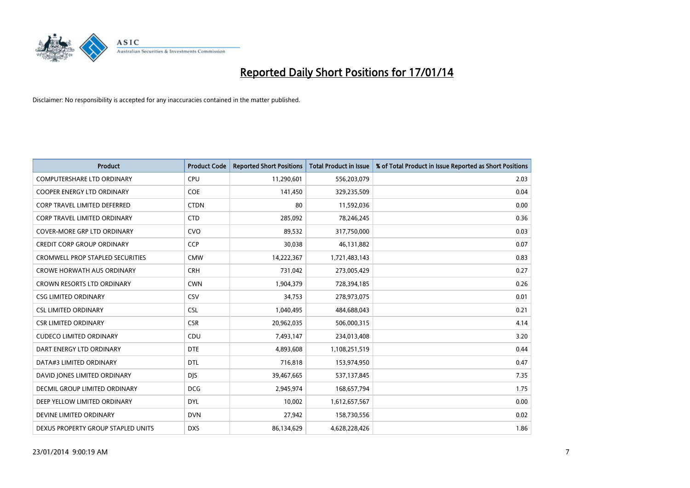

| <b>Product</b>                      | <b>Product Code</b> | <b>Reported Short Positions</b> | <b>Total Product in Issue</b> | % of Total Product in Issue Reported as Short Positions |
|-------------------------------------|---------------------|---------------------------------|-------------------------------|---------------------------------------------------------|
| <b>COMPUTERSHARE LTD ORDINARY</b>   | <b>CPU</b>          | 11,290,601                      | 556,203,079                   | 2.03                                                    |
| COOPER ENERGY LTD ORDINARY          | <b>COE</b>          | 141,450                         | 329,235,509                   | 0.04                                                    |
| <b>CORP TRAVEL LIMITED DEFERRED</b> | <b>CTDN</b>         | 80                              | 11,592,036                    | 0.00                                                    |
| <b>CORP TRAVEL LIMITED ORDINARY</b> | <b>CTD</b>          | 285,092                         | 78,246,245                    | 0.36                                                    |
| <b>COVER-MORE GRP LTD ORDINARY</b>  | <b>CVO</b>          | 89,532                          | 317,750,000                   | 0.03                                                    |
| <b>CREDIT CORP GROUP ORDINARY</b>   | <b>CCP</b>          | 30,038                          | 46,131,882                    | 0.07                                                    |
| CROMWELL PROP STAPLED SECURITIES    | <b>CMW</b>          | 14,222,367                      | 1,721,483,143                 | 0.83                                                    |
| <b>CROWE HORWATH AUS ORDINARY</b>   | <b>CRH</b>          | 731,042                         | 273,005,429                   | 0.27                                                    |
| <b>CROWN RESORTS LTD ORDINARY</b>   | <b>CWN</b>          | 1,904,379                       | 728,394,185                   | 0.26                                                    |
| <b>CSG LIMITED ORDINARY</b>         | CSV                 | 34,753                          | 278,973,075                   | 0.01                                                    |
| <b>CSL LIMITED ORDINARY</b>         | <b>CSL</b>          | 1,040,495                       | 484,688,043                   | 0.21                                                    |
| <b>CSR LIMITED ORDINARY</b>         | <b>CSR</b>          | 20,962,035                      | 506,000,315                   | 4.14                                                    |
| <b>CUDECO LIMITED ORDINARY</b>      | CDU                 | 7,493,147                       | 234,013,408                   | 3.20                                                    |
| DART ENERGY LTD ORDINARY            | <b>DTE</b>          | 4,893,608                       | 1,108,251,519                 | 0.44                                                    |
| DATA#3 LIMITED ORDINARY             | <b>DTL</b>          | 716,818                         | 153,974,950                   | 0.47                                                    |
| DAVID JONES LIMITED ORDINARY        | <b>DIS</b>          | 39,467,665                      | 537,137,845                   | 7.35                                                    |
| DECMIL GROUP LIMITED ORDINARY       | <b>DCG</b>          | 2,945,974                       | 168,657,794                   | 1.75                                                    |
| DEEP YELLOW LIMITED ORDINARY        | <b>DYL</b>          | 10,002                          | 1,612,657,567                 | 0.00                                                    |
| DEVINE LIMITED ORDINARY             | <b>DVN</b>          | 27,942                          | 158,730,556                   | 0.02                                                    |
| DEXUS PROPERTY GROUP STAPLED UNITS  | <b>DXS</b>          | 86,134,629                      | 4,628,228,426                 | 1.86                                                    |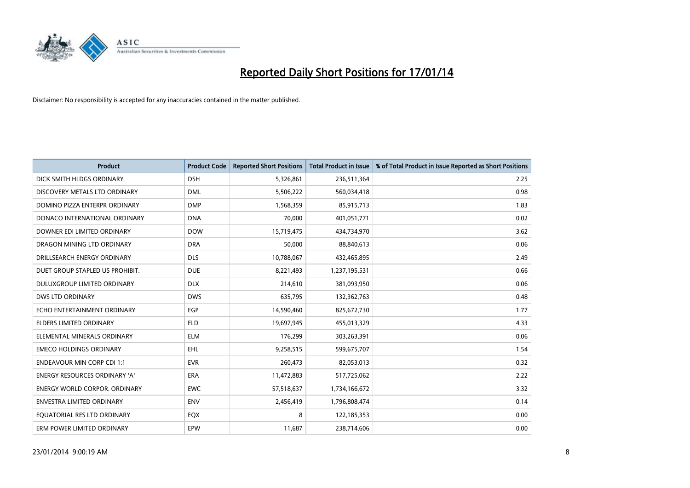

| <b>Product</b>                       | <b>Product Code</b> | <b>Reported Short Positions</b> | <b>Total Product in Issue</b> | % of Total Product in Issue Reported as Short Positions |
|--------------------------------------|---------------------|---------------------------------|-------------------------------|---------------------------------------------------------|
| DICK SMITH HLDGS ORDINARY            | <b>DSH</b>          | 5,326,861                       | 236,511,364                   | 2.25                                                    |
| DISCOVERY METALS LTD ORDINARY        | <b>DML</b>          | 5,506,222                       | 560,034,418                   | 0.98                                                    |
| DOMINO PIZZA ENTERPR ORDINARY        | <b>DMP</b>          | 1,568,359                       | 85,915,713                    | 1.83                                                    |
| DONACO INTERNATIONAL ORDINARY        | <b>DNA</b>          | 70,000                          | 401,051,771                   | 0.02                                                    |
| DOWNER EDI LIMITED ORDINARY          | <b>DOW</b>          | 15,719,475                      | 434,734,970                   | 3.62                                                    |
| DRAGON MINING LTD ORDINARY           | <b>DRA</b>          | 50,000                          | 88,840,613                    | 0.06                                                    |
| DRILLSEARCH ENERGY ORDINARY          | <b>DLS</b>          | 10,788,067                      | 432,465,895                   | 2.49                                                    |
| DUET GROUP STAPLED US PROHIBIT.      | <b>DUE</b>          | 8,221,493                       | 1,237,195,531                 | 0.66                                                    |
| DULUXGROUP LIMITED ORDINARY          | <b>DLX</b>          | 214,610                         | 381,093,950                   | 0.06                                                    |
| <b>DWS LTD ORDINARY</b>              | <b>DWS</b>          | 635,795                         | 132,362,763                   | 0.48                                                    |
| ECHO ENTERTAINMENT ORDINARY          | <b>EGP</b>          | 14,590,460                      | 825,672,730                   | 1.77                                                    |
| <b>ELDERS LIMITED ORDINARY</b>       | <b>ELD</b>          | 19,697,945                      | 455,013,329                   | 4.33                                                    |
| ELEMENTAL MINERALS ORDINARY          | <b>ELM</b>          | 176,299                         | 303,263,391                   | 0.06                                                    |
| <b>EMECO HOLDINGS ORDINARY</b>       | EHL                 | 9,258,515                       | 599,675,707                   | 1.54                                                    |
| <b>ENDEAVOUR MIN CORP CDI 1:1</b>    | <b>EVR</b>          | 260,473                         | 82,053,013                    | 0.32                                                    |
| <b>ENERGY RESOURCES ORDINARY 'A'</b> | ERA                 | 11,472,883                      | 517,725,062                   | 2.22                                                    |
| <b>ENERGY WORLD CORPOR. ORDINARY</b> | <b>EWC</b>          | 57,518,637                      | 1,734,166,672                 | 3.32                                                    |
| ENVESTRA LIMITED ORDINARY            | <b>ENV</b>          | 2,456,419                       | 1,796,808,474                 | 0.14                                                    |
| EQUATORIAL RES LTD ORDINARY          | EQX                 | 8                               | 122,185,353                   | 0.00                                                    |
| ERM POWER LIMITED ORDINARY           | EPW                 | 11,687                          | 238,714,606                   | 0.00                                                    |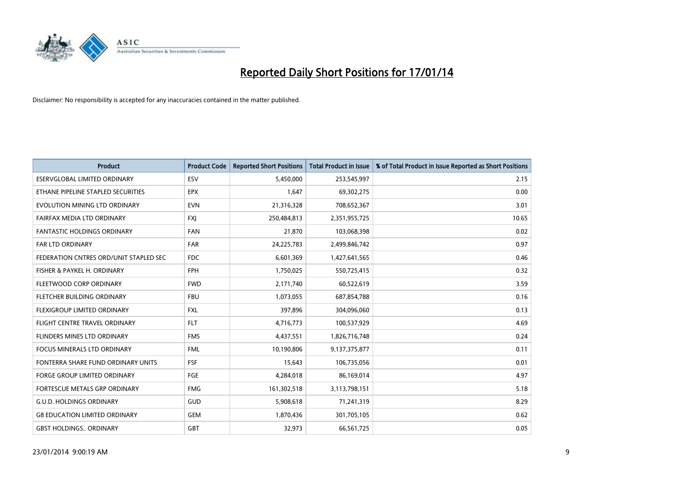

| <b>Product</b>                         | <b>Product Code</b> | <b>Reported Short Positions</b> | <b>Total Product in Issue</b> | % of Total Product in Issue Reported as Short Positions |
|----------------------------------------|---------------------|---------------------------------|-------------------------------|---------------------------------------------------------|
| <b>ESERVGLOBAL LIMITED ORDINARY</b>    | ESV                 | 5,450,000                       | 253,545,997                   | 2.15                                                    |
| ETHANE PIPELINE STAPLED SECURITIES     | <b>EPX</b>          | 1,647                           | 69,302,275                    | 0.00                                                    |
| EVOLUTION MINING LTD ORDINARY          | <b>EVN</b>          | 21,316,328                      | 708,652,367                   | 3.01                                                    |
| FAIRFAX MEDIA LTD ORDINARY             | <b>FXJ</b>          | 250,484,813                     | 2,351,955,725                 | 10.65                                                   |
| <b>FANTASTIC HOLDINGS ORDINARY</b>     | <b>FAN</b>          | 21,870                          | 103,068,398                   | 0.02                                                    |
| <b>FAR LTD ORDINARY</b>                | <b>FAR</b>          | 24,225,783                      | 2,499,846,742                 | 0.97                                                    |
| FEDERATION CNTRES ORD/UNIT STAPLED SEC | FDC                 | 6,601,369                       | 1,427,641,565                 | 0.46                                                    |
| FISHER & PAYKEL H. ORDINARY            | <b>FPH</b>          | 1,750,025                       | 550,725,415                   | 0.32                                                    |
| FLEETWOOD CORP ORDINARY                | <b>FWD</b>          | 2,171,740                       | 60,522,619                    | 3.59                                                    |
| FLETCHER BUILDING ORDINARY             | <b>FBU</b>          | 1,073,055                       | 687,854,788                   | 0.16                                                    |
| FLEXIGROUP LIMITED ORDINARY            | FXL                 | 397,896                         | 304,096,060                   | 0.13                                                    |
| FLIGHT CENTRE TRAVEL ORDINARY          | <b>FLT</b>          | 4,716,773                       | 100,537,929                   | 4.69                                                    |
| FLINDERS MINES LTD ORDINARY            | <b>FMS</b>          | 4,437,551                       | 1,826,716,748                 | 0.24                                                    |
| <b>FOCUS MINERALS LTD ORDINARY</b>     | <b>FML</b>          | 10,190,806                      | 9,137,375,877                 | 0.11                                                    |
| FONTERRA SHARE FUND ORDINARY UNITS     | <b>FSF</b>          | 15,643                          | 106,735,056                   | 0.01                                                    |
| FORGE GROUP LIMITED ORDINARY           | FGE                 | 4,284,018                       | 86,169,014                    | 4.97                                                    |
| FORTESCUE METALS GRP ORDINARY          | <b>FMG</b>          | 161,302,518                     | 3,113,798,151                 | 5.18                                                    |
| <b>G.U.D. HOLDINGS ORDINARY</b>        | GUD                 | 5,908,618                       | 71,241,319                    | 8.29                                                    |
| <b>G8 EDUCATION LIMITED ORDINARY</b>   | GEM                 | 1,870,436                       | 301,705,105                   | 0.62                                                    |
| <b>GBST HOLDINGS ORDINARY</b>          | GBT                 | 32,973                          | 66,561,725                    | 0.05                                                    |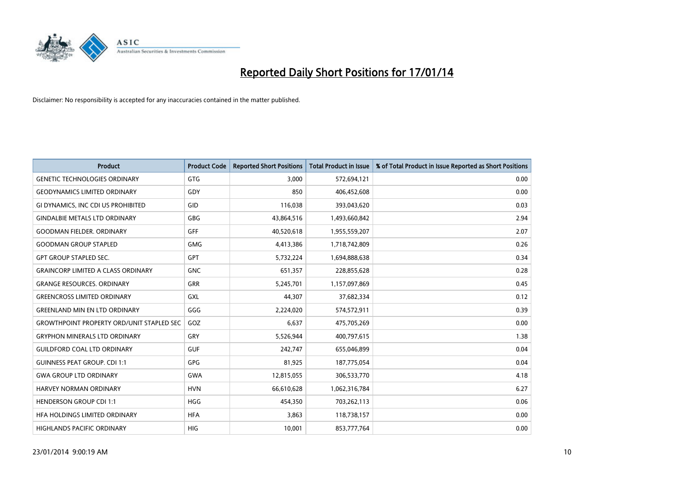

| <b>Product</b>                                   | <b>Product Code</b> | <b>Reported Short Positions</b> | <b>Total Product in Issue</b> | % of Total Product in Issue Reported as Short Positions |
|--------------------------------------------------|---------------------|---------------------------------|-------------------------------|---------------------------------------------------------|
| <b>GENETIC TECHNOLOGIES ORDINARY</b>             | <b>GTG</b>          | 3,000                           | 572,694,121                   | 0.00                                                    |
| <b>GEODYNAMICS LIMITED ORDINARY</b>              | GDY                 | 850                             | 406,452,608                   | 0.00                                                    |
| GI DYNAMICS, INC CDI US PROHIBITED               | <b>GID</b>          | 116,038                         | 393,043,620                   | 0.03                                                    |
| <b>GINDALBIE METALS LTD ORDINARY</b>             | GBG                 | 43,864,516                      | 1,493,660,842                 | 2.94                                                    |
| <b>GOODMAN FIELDER, ORDINARY</b>                 | <b>GFF</b>          | 40,520,618                      | 1,955,559,207                 | 2.07                                                    |
| <b>GOODMAN GROUP STAPLED</b>                     | <b>GMG</b>          | 4,413,386                       | 1,718,742,809                 | 0.26                                                    |
| <b>GPT GROUP STAPLED SEC.</b>                    | <b>GPT</b>          | 5,732,224                       | 1,694,888,638                 | 0.34                                                    |
| <b>GRAINCORP LIMITED A CLASS ORDINARY</b>        | <b>GNC</b>          | 651,357                         | 228,855,628                   | 0.28                                                    |
| <b>GRANGE RESOURCES. ORDINARY</b>                | GRR                 | 5,245,701                       | 1,157,097,869                 | 0.45                                                    |
| <b>GREENCROSS LIMITED ORDINARY</b>               | <b>GXL</b>          | 44.307                          | 37,682,334                    | 0.12                                                    |
| <b>GREENLAND MIN EN LTD ORDINARY</b>             | GGG                 | 2,224,020                       | 574,572,911                   | 0.39                                                    |
| <b>GROWTHPOINT PROPERTY ORD/UNIT STAPLED SEC</b> | GOZ                 | 6,637                           | 475,705,269                   | 0.00                                                    |
| <b>GRYPHON MINERALS LTD ORDINARY</b>             | GRY                 | 5,526,944                       | 400,797,615                   | 1.38                                                    |
| <b>GUILDFORD COAL LTD ORDINARY</b>               | <b>GUF</b>          | 242,747                         | 655,046,899                   | 0.04                                                    |
| <b>GUINNESS PEAT GROUP. CDI 1:1</b>              | <b>GPG</b>          | 81,925                          | 187,775,054                   | 0.04                                                    |
| <b>GWA GROUP LTD ORDINARY</b>                    | <b>GWA</b>          | 12,815,055                      | 306,533,770                   | 4.18                                                    |
| <b>HARVEY NORMAN ORDINARY</b>                    | <b>HVN</b>          | 66,610,628                      | 1,062,316,784                 | 6.27                                                    |
| <b>HENDERSON GROUP CDI 1:1</b>                   | <b>HGG</b>          | 454,350                         | 703,262,113                   | 0.06                                                    |
| HFA HOLDINGS LIMITED ORDINARY                    | <b>HFA</b>          | 3,863                           | 118,738,157                   | 0.00                                                    |
| <b>HIGHLANDS PACIFIC ORDINARY</b>                | HIG                 | 10,001                          | 853,777,764                   | 0.00                                                    |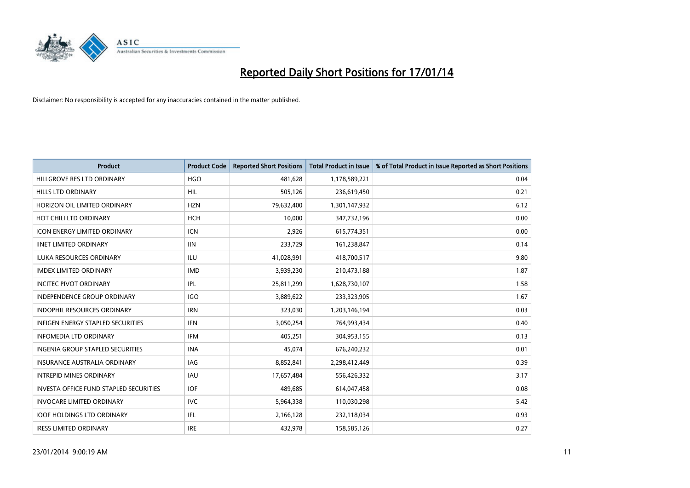

| <b>Product</b>                           | <b>Product Code</b> | <b>Reported Short Positions</b> | <b>Total Product in Issue</b> | % of Total Product in Issue Reported as Short Positions |
|------------------------------------------|---------------------|---------------------------------|-------------------------------|---------------------------------------------------------|
| HILLGROVE RES LTD ORDINARY               | <b>HGO</b>          | 481,628                         | 1,178,589,221                 | 0.04                                                    |
| <b>HILLS LTD ORDINARY</b>                | HIL                 | 505,126                         | 236,619,450                   | 0.21                                                    |
| HORIZON OIL LIMITED ORDINARY             | <b>HZN</b>          | 79,632,400                      | 1,301,147,932                 | 6.12                                                    |
| HOT CHILI LTD ORDINARY                   | <b>HCH</b>          | 10,000                          | 347,732,196                   | 0.00                                                    |
| <b>ICON ENERGY LIMITED ORDINARY</b>      | <b>ICN</b>          | 2,926                           | 615,774,351                   | 0.00                                                    |
| <b>IINET LIMITED ORDINARY</b>            | <b>IIN</b>          | 233,729                         | 161,238,847                   | 0.14                                                    |
| <b>ILUKA RESOURCES ORDINARY</b>          | ILU                 | 41,028,991                      | 418,700,517                   | 9.80                                                    |
| <b>IMDEX LIMITED ORDINARY</b>            | <b>IMD</b>          | 3,939,230                       | 210,473,188                   | 1.87                                                    |
| <b>INCITEC PIVOT ORDINARY</b>            | IPL                 | 25,811,299                      | 1,628,730,107                 | 1.58                                                    |
| <b>INDEPENDENCE GROUP ORDINARY</b>       | IGO                 | 3,889,622                       | 233,323,905                   | 1.67                                                    |
| <b>INDOPHIL RESOURCES ORDINARY</b>       | <b>IRN</b>          | 323,030                         | 1,203,146,194                 | 0.03                                                    |
| <b>INFIGEN ENERGY STAPLED SECURITIES</b> | <b>IFN</b>          | 3,050,254                       | 764,993,434                   | 0.40                                                    |
| <b>INFOMEDIA LTD ORDINARY</b>            | <b>IFM</b>          | 405,251                         | 304,953,155                   | 0.13                                                    |
| <b>INGENIA GROUP STAPLED SECURITIES</b>  | <b>INA</b>          | 45,074                          | 676,240,232                   | 0.01                                                    |
| <b>INSURANCE AUSTRALIA ORDINARY</b>      | IAG                 | 8,852,841                       | 2,298,412,449                 | 0.39                                                    |
| <b>INTREPID MINES ORDINARY</b>           | <b>IAU</b>          | 17,657,484                      | 556,426,332                   | 3.17                                                    |
| INVESTA OFFICE FUND STAPLED SECURITIES   | <b>IOF</b>          | 489,685                         | 614,047,458                   | 0.08                                                    |
| <b>INVOCARE LIMITED ORDINARY</b>         | <b>IVC</b>          | 5,964,338                       | 110,030,298                   | 5.42                                                    |
| <b>IOOF HOLDINGS LTD ORDINARY</b>        | IFL                 | 2,166,128                       | 232,118,034                   | 0.93                                                    |
| <b>IRESS LIMITED ORDINARY</b>            | <b>IRE</b>          | 432,978                         | 158,585,126                   | 0.27                                                    |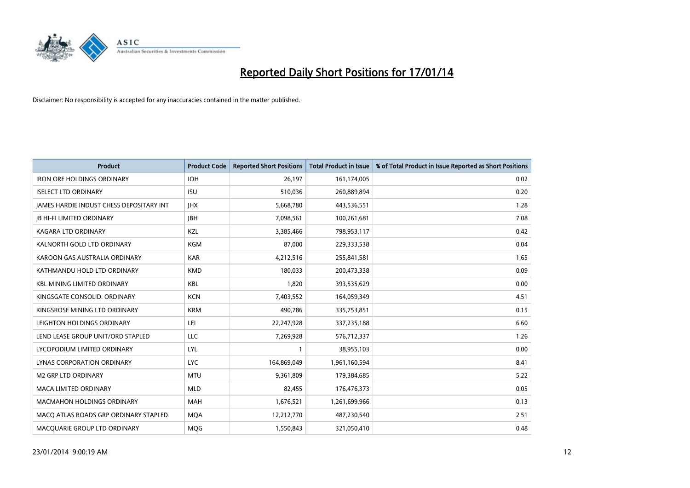

| <b>Product</b>                                  | <b>Product Code</b> | <b>Reported Short Positions</b> | <b>Total Product in Issue</b> | % of Total Product in Issue Reported as Short Positions |
|-------------------------------------------------|---------------------|---------------------------------|-------------------------------|---------------------------------------------------------|
| <b>IRON ORE HOLDINGS ORDINARY</b>               | <b>IOH</b>          | 26,197                          | 161,174,005                   | 0.02                                                    |
| <b>ISELECT LTD ORDINARY</b>                     | <b>ISU</b>          | 510,036                         | 260,889,894                   | 0.20                                                    |
| <b>JAMES HARDIE INDUST CHESS DEPOSITARY INT</b> | <b>IHX</b>          | 5,668,780                       | 443,536,551                   | 1.28                                                    |
| <b>JB HI-FI LIMITED ORDINARY</b>                | <b>JBH</b>          | 7,098,561                       | 100,261,681                   | 7.08                                                    |
| <b>KAGARA LTD ORDINARY</b>                      | KZL                 | 3,385,466                       | 798,953,117                   | 0.42                                                    |
| KALNORTH GOLD LTD ORDINARY                      | <b>KGM</b>          | 87,000                          | 229,333,538                   | 0.04                                                    |
| KAROON GAS AUSTRALIA ORDINARY                   | <b>KAR</b>          | 4,212,516                       | 255,841,581                   | 1.65                                                    |
| KATHMANDU HOLD LTD ORDINARY                     | <b>KMD</b>          | 180,033                         | 200,473,338                   | 0.09                                                    |
| <b>KBL MINING LIMITED ORDINARY</b>              | <b>KBL</b>          | 1,820                           | 393,535,629                   | 0.00                                                    |
| KINGSGATE CONSOLID, ORDINARY                    | <b>KCN</b>          | 7,403,552                       | 164,059,349                   | 4.51                                                    |
| KINGSROSE MINING LTD ORDINARY                   | <b>KRM</b>          | 490,786                         | 335,753,851                   | 0.15                                                    |
| LEIGHTON HOLDINGS ORDINARY                      | LEI                 | 22,247,928                      | 337,235,188                   | 6.60                                                    |
| LEND LEASE GROUP UNIT/ORD STAPLED               | LLC                 | 7,269,928                       | 576,712,337                   | 1.26                                                    |
| LYCOPODIUM LIMITED ORDINARY                     | <b>LYL</b>          | 1                               | 38,955,103                    | 0.00                                                    |
| <b>LYNAS CORPORATION ORDINARY</b>               | <b>LYC</b>          | 164,869,049                     | 1,961,160,594                 | 8.41                                                    |
| M2 GRP LTD ORDINARY                             | <b>MTU</b>          | 9,361,809                       | 179,384,685                   | 5.22                                                    |
| MACA LIMITED ORDINARY                           | <b>MLD</b>          | 82,455                          | 176,476,373                   | 0.05                                                    |
| <b>MACMAHON HOLDINGS ORDINARY</b>               | <b>MAH</b>          | 1,676,521                       | 1,261,699,966                 | 0.13                                                    |
| MACO ATLAS ROADS GRP ORDINARY STAPLED           | <b>MOA</b>          | 12,212,770                      | 487,230,540                   | 2.51                                                    |
| MACQUARIE GROUP LTD ORDINARY                    | <b>MOG</b>          | 1,550,843                       | 321,050,410                   | 0.48                                                    |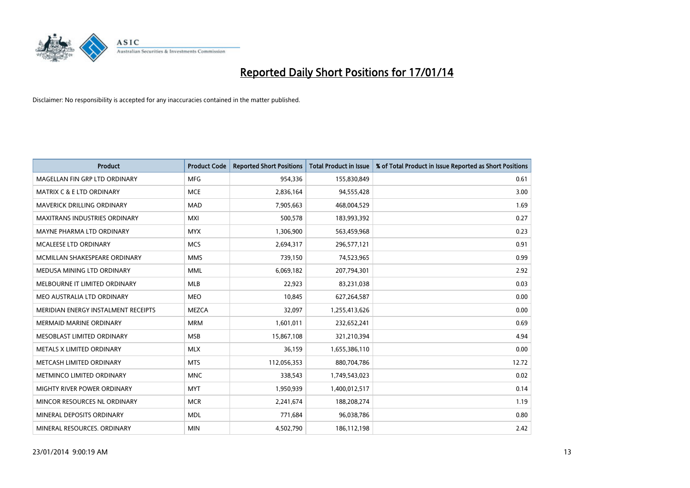

| <b>Product</b>                       | <b>Product Code</b> | <b>Reported Short Positions</b> | <b>Total Product in Issue</b> | % of Total Product in Issue Reported as Short Positions |
|--------------------------------------|---------------------|---------------------------------|-------------------------------|---------------------------------------------------------|
| MAGELLAN FIN GRP LTD ORDINARY        | <b>MFG</b>          | 954,336                         | 155,830,849                   | 0.61                                                    |
| <b>MATRIX C &amp; E LTD ORDINARY</b> | <b>MCE</b>          | 2,836,164                       | 94,555,428                    | 3.00                                                    |
| <b>MAVERICK DRILLING ORDINARY</b>    | <b>MAD</b>          | 7,905,663                       | 468,004,529                   | 1.69                                                    |
| MAXITRANS INDUSTRIES ORDINARY        | <b>MXI</b>          | 500,578                         | 183,993,392                   | 0.27                                                    |
| MAYNE PHARMA LTD ORDINARY            | <b>MYX</b>          | 1,306,900                       | 563,459,968                   | 0.23                                                    |
| MCALEESE LTD ORDINARY                | <b>MCS</b>          | 2,694,317                       | 296,577,121                   | 0.91                                                    |
| MCMILLAN SHAKESPEARE ORDINARY        | <b>MMS</b>          | 739,150                         | 74,523,965                    | 0.99                                                    |
| MEDUSA MINING LTD ORDINARY           | MML                 | 6,069,182                       | 207,794,301                   | 2.92                                                    |
| MELBOURNE IT LIMITED ORDINARY        | <b>MLB</b>          | 22,923                          | 83,231,038                    | 0.03                                                    |
| MEO AUSTRALIA LTD ORDINARY           | <b>MEO</b>          | 10,845                          | 627,264,587                   | 0.00                                                    |
| MERIDIAN ENERGY INSTALMENT RECEIPTS  | <b>MEZCA</b>        | 32,097                          | 1,255,413,626                 | 0.00                                                    |
| <b>MERMAID MARINE ORDINARY</b>       | <b>MRM</b>          | 1,601,011                       | 232,652,241                   | 0.69                                                    |
| MESOBLAST LIMITED ORDINARY           | <b>MSB</b>          | 15,867,108                      | 321,210,394                   | 4.94                                                    |
| METALS X LIMITED ORDINARY            | <b>MLX</b>          | 36,159                          | 1,655,386,110                 | 0.00                                                    |
| METCASH LIMITED ORDINARY             | <b>MTS</b>          | 112,056,353                     | 880,704,786                   | 12.72                                                   |
| METMINCO LIMITED ORDINARY            | <b>MNC</b>          | 338,543                         | 1,749,543,023                 | 0.02                                                    |
| MIGHTY RIVER POWER ORDINARY          | <b>MYT</b>          | 1,950,939                       | 1,400,012,517                 | 0.14                                                    |
| MINCOR RESOURCES NL ORDINARY         | <b>MCR</b>          | 2,241,674                       | 188,208,274                   | 1.19                                                    |
| MINERAL DEPOSITS ORDINARY            | <b>MDL</b>          | 771,684                         | 96,038,786                    | 0.80                                                    |
| MINERAL RESOURCES. ORDINARY          | <b>MIN</b>          | 4,502,790                       | 186,112,198                   | 2.42                                                    |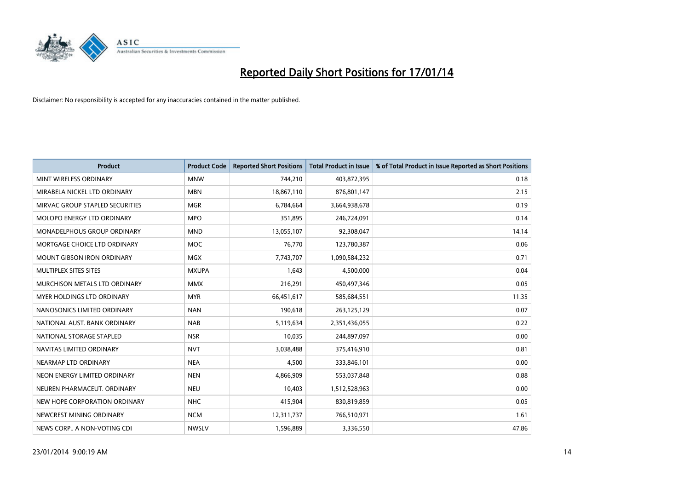

| <b>Product</b>                    | <b>Product Code</b> | <b>Reported Short Positions</b> | <b>Total Product in Issue</b> | % of Total Product in Issue Reported as Short Positions |
|-----------------------------------|---------------------|---------------------------------|-------------------------------|---------------------------------------------------------|
| MINT WIRELESS ORDINARY            | <b>MNW</b>          | 744,210                         | 403,872,395                   | 0.18                                                    |
| MIRABELA NICKEL LTD ORDINARY      | <b>MBN</b>          | 18,867,110                      | 876,801,147                   | 2.15                                                    |
| MIRVAC GROUP STAPLED SECURITIES   | <b>MGR</b>          | 6,784,664                       | 3,664,938,678                 | 0.19                                                    |
| MOLOPO ENERGY LTD ORDINARY        | <b>MPO</b>          | 351,895                         | 246,724,091                   | 0.14                                                    |
| MONADELPHOUS GROUP ORDINARY       | <b>MND</b>          | 13,055,107                      | 92,308,047                    | 14.14                                                   |
| MORTGAGE CHOICE LTD ORDINARY      | MOC                 | 76,770                          | 123,780,387                   | 0.06                                                    |
| <b>MOUNT GIBSON IRON ORDINARY</b> | <b>MGX</b>          | 7,743,707                       | 1,090,584,232                 | 0.71                                                    |
| MULTIPLEX SITES SITES             | <b>MXUPA</b>        | 1,643                           | 4,500,000                     | 0.04                                                    |
| MURCHISON METALS LTD ORDINARY     | <b>MMX</b>          | 216,291                         | 450,497,346                   | 0.05                                                    |
| MYER HOLDINGS LTD ORDINARY        | <b>MYR</b>          | 66,451,617                      | 585,684,551                   | 11.35                                                   |
| NANOSONICS LIMITED ORDINARY       | <b>NAN</b>          | 190,618                         | 263,125,129                   | 0.07                                                    |
| NATIONAL AUST. BANK ORDINARY      | <b>NAB</b>          | 5,119,634                       | 2,351,436,055                 | 0.22                                                    |
| NATIONAL STORAGE STAPLED          | <b>NSR</b>          | 10,035                          | 244,897,097                   | 0.00                                                    |
| NAVITAS LIMITED ORDINARY          | <b>NVT</b>          | 3,038,488                       | 375,416,910                   | 0.81                                                    |
| NEARMAP LTD ORDINARY              | <b>NEA</b>          | 4,500                           | 333,846,101                   | 0.00                                                    |
| NEON ENERGY LIMITED ORDINARY      | <b>NEN</b>          | 4,866,909                       | 553,037,848                   | 0.88                                                    |
| NEUREN PHARMACEUT. ORDINARY       | <b>NEU</b>          | 10,403                          | 1,512,528,963                 | 0.00                                                    |
| NEW HOPE CORPORATION ORDINARY     | <b>NHC</b>          | 415,904                         | 830,819,859                   | 0.05                                                    |
| NEWCREST MINING ORDINARY          | <b>NCM</b>          | 12,311,737                      | 766,510,971                   | 1.61                                                    |
| NEWS CORP A NON-VOTING CDI        | <b>NWSLV</b>        | 1,596,889                       | 3,336,550                     | 47.86                                                   |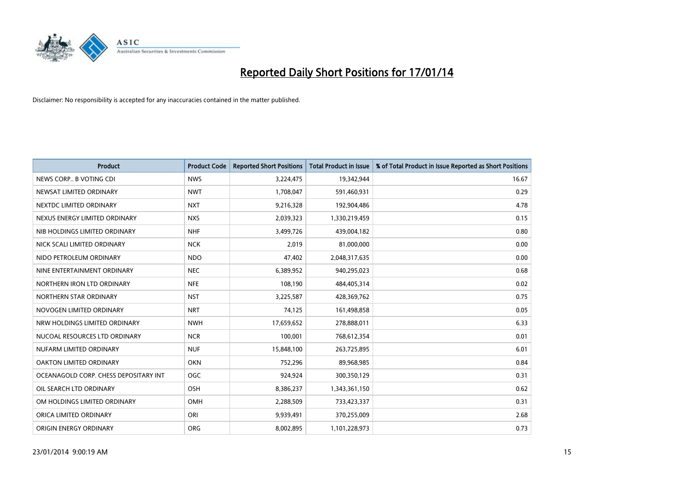

| <b>Product</b>                        | <b>Product Code</b> | <b>Reported Short Positions</b> | <b>Total Product in Issue</b> | % of Total Product in Issue Reported as Short Positions |
|---------------------------------------|---------------------|---------------------------------|-------------------------------|---------------------------------------------------------|
| NEWS CORP B VOTING CDI                | <b>NWS</b>          | 3,224,475                       | 19,342,944                    | 16.67                                                   |
| NEWSAT LIMITED ORDINARY               | <b>NWT</b>          | 1,708,047                       | 591,460,931                   | 0.29                                                    |
| NEXTDC LIMITED ORDINARY               | <b>NXT</b>          | 9,216,328                       | 192,904,486                   | 4.78                                                    |
| NEXUS ENERGY LIMITED ORDINARY         | <b>NXS</b>          | 2,039,323                       | 1,330,219,459                 | 0.15                                                    |
| NIB HOLDINGS LIMITED ORDINARY         | <b>NHF</b>          | 3,499,726                       | 439,004,182                   | 0.80                                                    |
| NICK SCALI LIMITED ORDINARY           | <b>NCK</b>          | 2,019                           | 81,000,000                    | 0.00                                                    |
| NIDO PETROLEUM ORDINARY               | <b>NDO</b>          | 47,402                          | 2,048,317,635                 | 0.00                                                    |
| NINE ENTERTAINMENT ORDINARY           | <b>NEC</b>          | 6,389,952                       | 940,295,023                   | 0.68                                                    |
| NORTHERN IRON LTD ORDINARY            | <b>NFE</b>          | 108,190                         | 484,405,314                   | 0.02                                                    |
| NORTHERN STAR ORDINARY                | <b>NST</b>          | 3,225,587                       | 428,369,762                   | 0.75                                                    |
| NOVOGEN LIMITED ORDINARY              | <b>NRT</b>          | 74,125                          | 161,498,858                   | 0.05                                                    |
| NRW HOLDINGS LIMITED ORDINARY         | <b>NWH</b>          | 17,659,652                      | 278,888,011                   | 6.33                                                    |
| NUCOAL RESOURCES LTD ORDINARY         | <b>NCR</b>          | 100,001                         | 768,612,354                   | 0.01                                                    |
| NUFARM LIMITED ORDINARY               | <b>NUF</b>          | 15,848,100                      | 263,725,895                   | 6.01                                                    |
| OAKTON LIMITED ORDINARY               | <b>OKN</b>          | 752,296                         | 89,968,985                    | 0.84                                                    |
| OCEANAGOLD CORP. CHESS DEPOSITARY INT | <b>OGC</b>          | 924,924                         | 300,350,129                   | 0.31                                                    |
| OIL SEARCH LTD ORDINARY               | OSH                 | 8,386,237                       | 1,343,361,150                 | 0.62                                                    |
| OM HOLDINGS LIMITED ORDINARY          | OMH                 | 2,288,509                       | 733,423,337                   | 0.31                                                    |
| ORICA LIMITED ORDINARY                | ORI                 | 9,939,491                       | 370,255,009                   | 2.68                                                    |
| ORIGIN ENERGY ORDINARY                | <b>ORG</b>          | 8,002,895                       | 1,101,228,973                 | 0.73                                                    |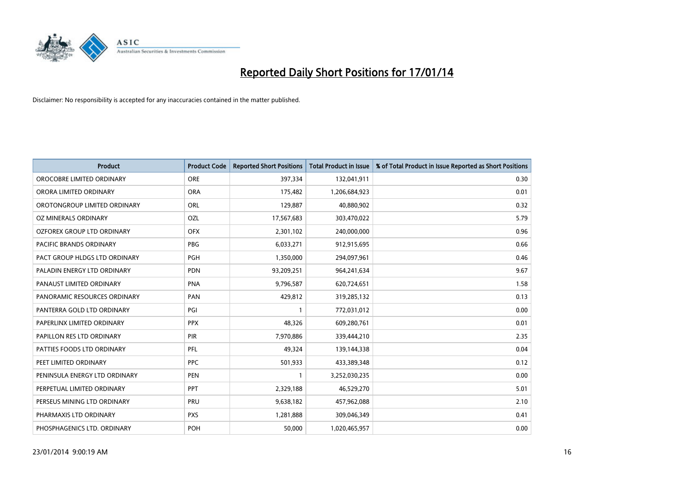

| <b>Product</b>                    | <b>Product Code</b> | <b>Reported Short Positions</b> | <b>Total Product in Issue</b> | % of Total Product in Issue Reported as Short Positions |
|-----------------------------------|---------------------|---------------------------------|-------------------------------|---------------------------------------------------------|
| OROCOBRE LIMITED ORDINARY         | <b>ORE</b>          | 397,334                         | 132,041,911                   | 0.30                                                    |
| ORORA LIMITED ORDINARY            | <b>ORA</b>          | 175,482                         | 1,206,684,923                 | 0.01                                                    |
| OROTONGROUP LIMITED ORDINARY      | ORL                 | 129,887                         | 40,880,902                    | 0.32                                                    |
| OZ MINERALS ORDINARY              | OZL                 | 17,567,683                      | 303,470,022                   | 5.79                                                    |
| <b>OZFOREX GROUP LTD ORDINARY</b> | <b>OFX</b>          | 2,301,102                       | 240,000,000                   | 0.96                                                    |
| <b>PACIFIC BRANDS ORDINARY</b>    | <b>PBG</b>          | 6,033,271                       | 912,915,695                   | 0.66                                                    |
| PACT GROUP HLDGS LTD ORDINARY     | PGH                 | 1,350,000                       | 294,097,961                   | 0.46                                                    |
| PALADIN ENERGY LTD ORDINARY       | PDN                 | 93,209,251                      | 964,241,634                   | 9.67                                                    |
| PANAUST LIMITED ORDINARY          | <b>PNA</b>          | 9,796,587                       | 620,724,651                   | 1.58                                                    |
| PANORAMIC RESOURCES ORDINARY      | PAN                 | 429,812                         | 319,285,132                   | 0.13                                                    |
| PANTERRA GOLD LTD ORDINARY        | PGI                 | 1                               | 772,031,012                   | 0.00                                                    |
| PAPERLINX LIMITED ORDINARY        | <b>PPX</b>          | 48,326                          | 609,280,761                   | 0.01                                                    |
| PAPILLON RES LTD ORDINARY         | PIR                 | 7,970,886                       | 339,444,210                   | 2.35                                                    |
| PATTIES FOODS LTD ORDINARY        | PFL                 | 49,324                          | 139,144,338                   | 0.04                                                    |
| PEET LIMITED ORDINARY             | <b>PPC</b>          | 501,933                         | 433,389,348                   | 0.12                                                    |
| PENINSULA ENERGY LTD ORDINARY     | <b>PEN</b>          |                                 | 3,252,030,235                 | 0.00                                                    |
| PERPETUAL LIMITED ORDINARY        | <b>PPT</b>          | 2,329,188                       | 46,529,270                    | 5.01                                                    |
| PERSEUS MINING LTD ORDINARY       | PRU                 | 9,638,182                       | 457,962,088                   | 2.10                                                    |
| PHARMAXIS LTD ORDINARY            | <b>PXS</b>          | 1,281,888                       | 309,046,349                   | 0.41                                                    |
| PHOSPHAGENICS LTD. ORDINARY       | POH                 | 50,000                          | 1,020,465,957                 | 0.00                                                    |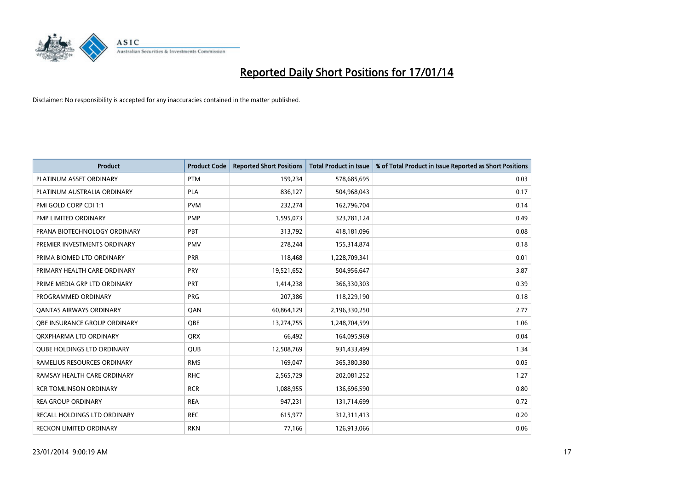

| <b>Product</b>                      | <b>Product Code</b> | <b>Reported Short Positions</b> | <b>Total Product in Issue</b> | % of Total Product in Issue Reported as Short Positions |
|-------------------------------------|---------------------|---------------------------------|-------------------------------|---------------------------------------------------------|
| PLATINUM ASSET ORDINARY             | <b>PTM</b>          | 159,234                         | 578,685,695                   | 0.03                                                    |
| PLATINUM AUSTRALIA ORDINARY         | <b>PLA</b>          | 836,127                         | 504,968,043                   | 0.17                                                    |
| PMI GOLD CORP CDI 1:1               | <b>PVM</b>          | 232,274                         | 162,796,704                   | 0.14                                                    |
| PMP LIMITED ORDINARY                | <b>PMP</b>          | 1,595,073                       | 323,781,124                   | 0.49                                                    |
| PRANA BIOTECHNOLOGY ORDINARY        | PBT                 | 313,792                         | 418,181,096                   | 0.08                                                    |
| PREMIER INVESTMENTS ORDINARY        | <b>PMV</b>          | 278,244                         | 155,314,874                   | 0.18                                                    |
| PRIMA BIOMED LTD ORDINARY           | <b>PRR</b>          | 118,468                         | 1,228,709,341                 | 0.01                                                    |
| PRIMARY HEALTH CARE ORDINARY        | <b>PRY</b>          | 19,521,652                      | 504,956,647                   | 3.87                                                    |
| PRIME MEDIA GRP LTD ORDINARY        | <b>PRT</b>          | 1,414,238                       | 366,330,303                   | 0.39                                                    |
| PROGRAMMED ORDINARY                 | <b>PRG</b>          | 207,386                         | 118,229,190                   | 0.18                                                    |
| <b>QANTAS AIRWAYS ORDINARY</b>      | QAN                 | 60,864,129                      | 2,196,330,250                 | 2.77                                                    |
| <b>OBE INSURANCE GROUP ORDINARY</b> | <b>OBE</b>          | 13,274,755                      | 1,248,704,599                 | 1.06                                                    |
| ORXPHARMA LTD ORDINARY              | <b>QRX</b>          | 66,492                          | 164,095,969                   | 0.04                                                    |
| <b>QUBE HOLDINGS LTD ORDINARY</b>   | <b>QUB</b>          | 12,508,769                      | 931,433,499                   | 1.34                                                    |
| RAMELIUS RESOURCES ORDINARY         | <b>RMS</b>          | 169,047                         | 365,380,380                   | 0.05                                                    |
| RAMSAY HEALTH CARE ORDINARY         | <b>RHC</b>          | 2,565,729                       | 202,081,252                   | 1.27                                                    |
| <b>RCR TOMLINSON ORDINARY</b>       | <b>RCR</b>          | 1,088,955                       | 136,696,590                   | 0.80                                                    |
| <b>REA GROUP ORDINARY</b>           | <b>REA</b>          | 947,231                         | 131,714,699                   | 0.72                                                    |
| RECALL HOLDINGS LTD ORDINARY        | <b>REC</b>          | 615,977                         | 312,311,413                   | 0.20                                                    |
| RECKON LIMITED ORDINARY             | <b>RKN</b>          | 77,166                          | 126,913,066                   | 0.06                                                    |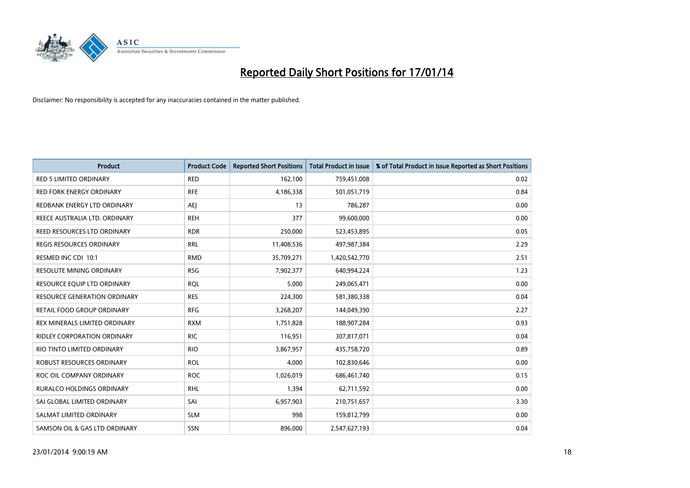

| <b>Product</b>                      | <b>Product Code</b> | <b>Reported Short Positions</b> | <b>Total Product in Issue</b> | % of Total Product in Issue Reported as Short Positions |
|-------------------------------------|---------------------|---------------------------------|-------------------------------|---------------------------------------------------------|
| <b>RED 5 LIMITED ORDINARY</b>       | <b>RED</b>          | 162,100                         | 759,451,008                   | 0.02                                                    |
| <b>RED FORK ENERGY ORDINARY</b>     | <b>RFE</b>          | 4,186,338                       | 501,051,719                   | 0.84                                                    |
| REDBANK ENERGY LTD ORDINARY         | AEJ                 | 13                              | 786,287                       | 0.00                                                    |
| REECE AUSTRALIA LTD. ORDINARY       | <b>REH</b>          | 377                             | 99,600,000                    | 0.00                                                    |
| REED RESOURCES LTD ORDINARY         | <b>RDR</b>          | 250,000                         | 523,453,895                   | 0.05                                                    |
| <b>REGIS RESOURCES ORDINARY</b>     | <b>RRL</b>          | 11,408,536                      | 497,987,384                   | 2.29                                                    |
| RESMED INC CDI 10:1                 | <b>RMD</b>          | 35,709,271                      | 1,420,542,770                 | 2.51                                                    |
| RESOLUTE MINING ORDINARY            | <b>RSG</b>          | 7,902,377                       | 640,994,224                   | 1.23                                                    |
| RESOURCE EQUIP LTD ORDINARY         | <b>RQL</b>          | 5,000                           | 249,065,471                   | 0.00                                                    |
| <b>RESOURCE GENERATION ORDINARY</b> | <b>RES</b>          | 224,300                         | 581,380,338                   | 0.04                                                    |
| RETAIL FOOD GROUP ORDINARY          | <b>RFG</b>          | 3,268,207                       | 144,049,390                   | 2.27                                                    |
| REX MINERALS LIMITED ORDINARY       | <b>RXM</b>          | 1,751,828                       | 188,907,284                   | 0.93                                                    |
| RIDLEY CORPORATION ORDINARY         | <b>RIC</b>          | 116,951                         | 307,817,071                   | 0.04                                                    |
| RIO TINTO LIMITED ORDINARY          | <b>RIO</b>          | 3,867,957                       | 435,758,720                   | 0.89                                                    |
| <b>ROBUST RESOURCES ORDINARY</b>    | <b>ROL</b>          | 4,000                           | 102,830,646                   | 0.00                                                    |
| ROC OIL COMPANY ORDINARY            | <b>ROC</b>          | 1,026,019                       | 686,461,740                   | 0.15                                                    |
| RURALCO HOLDINGS ORDINARY           | <b>RHL</b>          | 1,394                           | 62,711,592                    | 0.00                                                    |
| SAI GLOBAL LIMITED ORDINARY         | SAI                 | 6,957,903                       | 210,751,657                   | 3.30                                                    |
| SALMAT LIMITED ORDINARY             | <b>SLM</b>          | 998                             | 159,812,799                   | 0.00                                                    |
| SAMSON OIL & GAS LTD ORDINARY       | SSN                 | 896,000                         | 2,547,627,193                 | 0.04                                                    |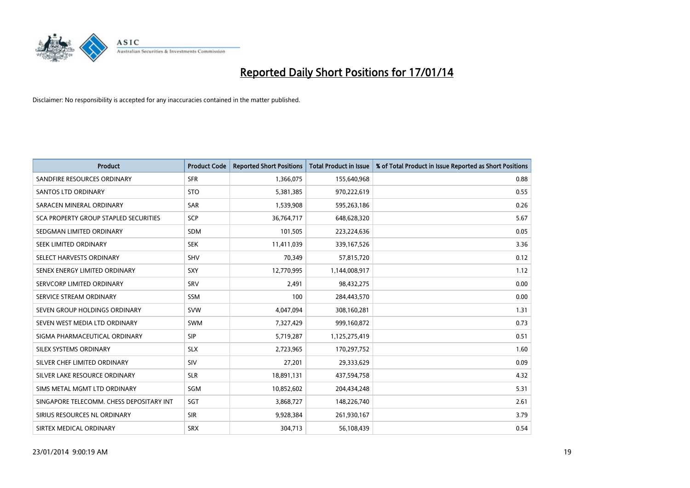

| Product                                  | <b>Product Code</b> | <b>Reported Short Positions</b> | <b>Total Product in Issue</b> | % of Total Product in Issue Reported as Short Positions |
|------------------------------------------|---------------------|---------------------------------|-------------------------------|---------------------------------------------------------|
| SANDFIRE RESOURCES ORDINARY              | <b>SFR</b>          | 1,366,075                       | 155,640,968                   | 0.88                                                    |
| SANTOS LTD ORDINARY                      | <b>STO</b>          | 5,381,385                       | 970,222,619                   | 0.55                                                    |
| SARACEN MINERAL ORDINARY                 | SAR                 | 1,539,908                       | 595,263,186                   | 0.26                                                    |
| SCA PROPERTY GROUP STAPLED SECURITIES    | SCP                 | 36,764,717                      | 648,628,320                   | 5.67                                                    |
| SEDGMAN LIMITED ORDINARY                 | <b>SDM</b>          | 101,505                         | 223,224,636                   | 0.05                                                    |
| SEEK LIMITED ORDINARY                    | <b>SEK</b>          | 11,411,039                      | 339,167,526                   | 3.36                                                    |
| SELECT HARVESTS ORDINARY                 | <b>SHV</b>          | 70,349                          | 57,815,720                    | 0.12                                                    |
| SENEX ENERGY LIMITED ORDINARY            | <b>SXY</b>          | 12,770,995                      | 1,144,008,917                 | 1.12                                                    |
| SERVCORP LIMITED ORDINARY                | SRV                 | 2,491                           | 98,432,275                    | 0.00                                                    |
| SERVICE STREAM ORDINARY                  | <b>SSM</b>          | 100                             | 284,443,570                   | 0.00                                                    |
| SEVEN GROUP HOLDINGS ORDINARY            | <b>SVW</b>          | 4,047,094                       | 308,160,281                   | 1.31                                                    |
| SEVEN WEST MEDIA LTD ORDINARY            | <b>SWM</b>          | 7,327,429                       | 999,160,872                   | 0.73                                                    |
| SIGMA PHARMACEUTICAL ORDINARY            | <b>SIP</b>          | 5,719,287                       | 1,125,275,419                 | 0.51                                                    |
| SILEX SYSTEMS ORDINARY                   | <b>SLX</b>          | 2,723,965                       | 170,297,752                   | 1.60                                                    |
| SILVER CHEF LIMITED ORDINARY             | SIV                 | 27,201                          | 29,333,629                    | 0.09                                                    |
| SILVER LAKE RESOURCE ORDINARY            | <b>SLR</b>          | 18,891,131                      | 437,594,758                   | 4.32                                                    |
| SIMS METAL MGMT LTD ORDINARY             | SGM                 | 10,852,602                      | 204,434,248                   | 5.31                                                    |
| SINGAPORE TELECOMM. CHESS DEPOSITARY INT | SGT                 | 3,868,727                       | 148,226,740                   | 2.61                                                    |
| SIRIUS RESOURCES NL ORDINARY             | <b>SIR</b>          | 9,928,384                       | 261,930,167                   | 3.79                                                    |
| SIRTEX MEDICAL ORDINARY                  | <b>SRX</b>          | 304,713                         | 56,108,439                    | 0.54                                                    |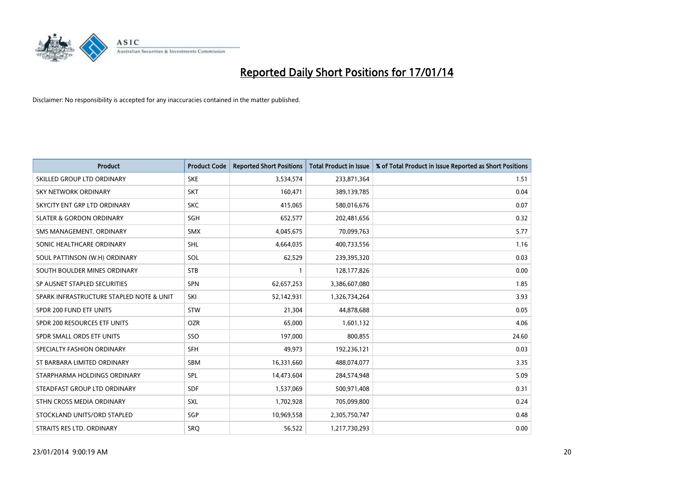

| <b>Product</b>                           | <b>Product Code</b> | <b>Reported Short Positions</b> | <b>Total Product in Issue</b> | % of Total Product in Issue Reported as Short Positions |
|------------------------------------------|---------------------|---------------------------------|-------------------------------|---------------------------------------------------------|
| SKILLED GROUP LTD ORDINARY               | <b>SKE</b>          | 3,534,574                       | 233,871,364                   | 1.51                                                    |
| <b>SKY NETWORK ORDINARY</b>              | <b>SKT</b>          | 160,471                         | 389,139,785                   | 0.04                                                    |
| SKYCITY ENT GRP LTD ORDINARY             | <b>SKC</b>          | 415,065                         | 580,016,676                   | 0.07                                                    |
| <b>SLATER &amp; GORDON ORDINARY</b>      | SGH                 | 652,577                         | 202,481,656                   | 0.32                                                    |
| SMS MANAGEMENT, ORDINARY                 | <b>SMX</b>          | 4,045,675                       | 70,099,763                    | 5.77                                                    |
| SONIC HEALTHCARE ORDINARY                | <b>SHL</b>          | 4,664,035                       | 400,733,556                   | 1.16                                                    |
| SOUL PATTINSON (W.H) ORDINARY            | SOL                 | 62,529                          | 239,395,320                   | 0.03                                                    |
| SOUTH BOULDER MINES ORDINARY             | <b>STB</b>          | $\mathbf{1}$                    | 128,177,826                   | 0.00                                                    |
| SP AUSNET STAPLED SECURITIES             | <b>SPN</b>          | 62,657,253                      | 3,386,607,080                 | 1.85                                                    |
| SPARK INFRASTRUCTURE STAPLED NOTE & UNIT | SKI                 | 52,142,931                      | 1,326,734,264                 | 3.93                                                    |
| SPDR 200 FUND ETF UNITS                  | <b>STW</b>          | 21,304                          | 44,878,688                    | 0.05                                                    |
| SPDR 200 RESOURCES ETF UNITS             | <b>OZR</b>          | 65,000                          | 1,601,132                     | 4.06                                                    |
| SPDR SMALL ORDS ETF UNITS                | SSO                 | 197,000                         | 800,855                       | 24.60                                                   |
| SPECIALTY FASHION ORDINARY               | SFH                 | 49,973                          | 192,236,121                   | 0.03                                                    |
| ST BARBARA LIMITED ORDINARY              | <b>SBM</b>          | 16,331,660                      | 488,074,077                   | 3.35                                                    |
| STARPHARMA HOLDINGS ORDINARY             | SPL                 | 14,473,604                      | 284,574,948                   | 5.09                                                    |
| STEADFAST GROUP LTD ORDINARY             | <b>SDF</b>          | 1,537,069                       | 500,971,408                   | 0.31                                                    |
| STHN CROSS MEDIA ORDINARY                | <b>SXL</b>          | 1,702,928                       | 705,099,800                   | 0.24                                                    |
| STOCKLAND UNITS/ORD STAPLED              | SGP                 | 10,969,558                      | 2,305,750,747                 | 0.48                                                    |
| STRAITS RES LTD. ORDINARY                | SRQ                 | 56,522                          | 1,217,730,293                 | 0.00                                                    |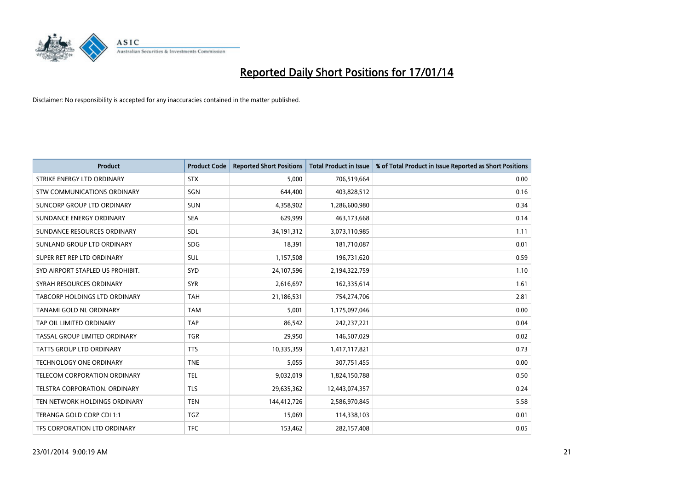

| <b>Product</b>                   | <b>Product Code</b> | <b>Reported Short Positions</b> | <b>Total Product in Issue</b> | % of Total Product in Issue Reported as Short Positions |
|----------------------------------|---------------------|---------------------------------|-------------------------------|---------------------------------------------------------|
| STRIKE ENERGY LTD ORDINARY       | <b>STX</b>          | 5,000                           | 706,519,664                   | 0.00                                                    |
| STW COMMUNICATIONS ORDINARY      | SGN                 | 644,400                         | 403,828,512                   | 0.16                                                    |
| SUNCORP GROUP LTD ORDINARY       | <b>SUN</b>          | 4,358,902                       | 1,286,600,980                 | 0.34                                                    |
| SUNDANCE ENERGY ORDINARY         | <b>SEA</b>          | 629,999                         | 463,173,668                   | 0.14                                                    |
| SUNDANCE RESOURCES ORDINARY      | SDL                 | 34,191,312                      | 3,073,110,985                 | 1.11                                                    |
| SUNLAND GROUP LTD ORDINARY       | <b>SDG</b>          | 18,391                          | 181,710,087                   | 0.01                                                    |
| SUPER RET REP LTD ORDINARY       | <b>SUL</b>          | 1,157,508                       | 196,731,620                   | 0.59                                                    |
| SYD AIRPORT STAPLED US PROHIBIT. | SYD                 | 24,107,596                      | 2,194,322,759                 | 1.10                                                    |
| SYRAH RESOURCES ORDINARY         | <b>SYR</b>          | 2,616,697                       | 162,335,614                   | 1.61                                                    |
| TABCORP HOLDINGS LTD ORDINARY    | <b>TAH</b>          | 21,186,531                      | 754,274,706                   | 2.81                                                    |
| TANAMI GOLD NL ORDINARY          | <b>TAM</b>          | 5,001                           | 1,175,097,046                 | 0.00                                                    |
| TAP OIL LIMITED ORDINARY         | <b>TAP</b>          | 86,542                          | 242,237,221                   | 0.04                                                    |
| TASSAL GROUP LIMITED ORDINARY    | <b>TGR</b>          | 29,950                          | 146,507,029                   | 0.02                                                    |
| <b>TATTS GROUP LTD ORDINARY</b>  | <b>TTS</b>          | 10,335,359                      | 1,417,117,821                 | 0.73                                                    |
| <b>TECHNOLOGY ONE ORDINARY</b>   | <b>TNE</b>          | 5,055                           | 307,751,455                   | 0.00                                                    |
| TELECOM CORPORATION ORDINARY     | <b>TEL</b>          | 9,032,019                       | 1,824,150,788                 | 0.50                                                    |
| TELSTRA CORPORATION, ORDINARY    | <b>TLS</b>          | 29,635,362                      | 12,443,074,357                | 0.24                                                    |
| TEN NETWORK HOLDINGS ORDINARY    | <b>TEN</b>          | 144,412,726                     | 2,586,970,845                 | 5.58                                                    |
| TERANGA GOLD CORP CDI 1:1        | <b>TGZ</b>          | 15,069                          | 114,338,103                   | 0.01                                                    |
| TFS CORPORATION LTD ORDINARY     | <b>TFC</b>          | 153,462                         | 282,157,408                   | 0.05                                                    |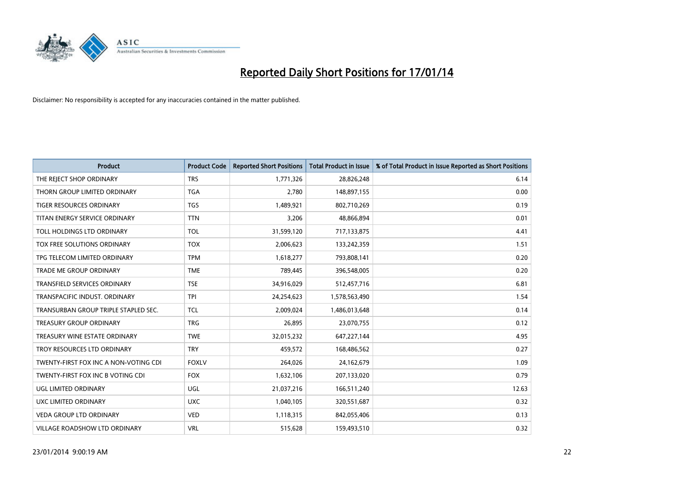

| <b>Product</b>                        | <b>Product Code</b> | <b>Reported Short Positions</b> | <b>Total Product in Issue</b> | % of Total Product in Issue Reported as Short Positions |
|---------------------------------------|---------------------|---------------------------------|-------------------------------|---------------------------------------------------------|
| THE REJECT SHOP ORDINARY              | <b>TRS</b>          | 1,771,326                       | 28,826,248                    | 6.14                                                    |
| THORN GROUP LIMITED ORDINARY          | <b>TGA</b>          | 2,780                           | 148,897,155                   | 0.00                                                    |
| TIGER RESOURCES ORDINARY              | TGS                 | 1,489,921                       | 802,710,269                   | 0.19                                                    |
| TITAN ENERGY SERVICE ORDINARY         | <b>TTN</b>          | 3,206                           | 48,866,894                    | 0.01                                                    |
| TOLL HOLDINGS LTD ORDINARY            | <b>TOL</b>          | 31,599,120                      | 717,133,875                   | 4.41                                                    |
| TOX FREE SOLUTIONS ORDINARY           | <b>TOX</b>          | 2,006,623                       | 133,242,359                   | 1.51                                                    |
| TPG TELECOM LIMITED ORDINARY          | <b>TPM</b>          | 1,618,277                       | 793,808,141                   | 0.20                                                    |
| TRADE ME GROUP ORDINARY               | <b>TME</b>          | 789,445                         | 396,548,005                   | 0.20                                                    |
| <b>TRANSFIELD SERVICES ORDINARY</b>   | <b>TSE</b>          | 34,916,029                      | 512,457,716                   | 6.81                                                    |
| TRANSPACIFIC INDUST, ORDINARY         | <b>TPI</b>          | 24,254,623                      | 1,578,563,490                 | 1.54                                                    |
| TRANSURBAN GROUP TRIPLE STAPLED SEC.  | <b>TCL</b>          | 2,009,024                       | 1,486,013,648                 | 0.14                                                    |
| TREASURY GROUP ORDINARY               | <b>TRG</b>          | 26,895                          | 23,070,755                    | 0.12                                                    |
| TREASURY WINE ESTATE ORDINARY         | <b>TWE</b>          | 32,015,232                      | 647,227,144                   | 4.95                                                    |
| TROY RESOURCES LTD ORDINARY           | <b>TRY</b>          | 459,572                         | 168,486,562                   | 0.27                                                    |
| TWENTY-FIRST FOX INC A NON-VOTING CDI | <b>FOXLV</b>        | 264,026                         | 24,162,679                    | 1.09                                                    |
| TWENTY-FIRST FOX INC B VOTING CDI     | <b>FOX</b>          | 1,632,106                       | 207,133,020                   | 0.79                                                    |
| UGL LIMITED ORDINARY                  | UGL                 | 21,037,216                      | 166,511,240                   | 12.63                                                   |
| UXC LIMITED ORDINARY                  | <b>UXC</b>          | 1,040,105                       | 320,551,687                   | 0.32                                                    |
| <b>VEDA GROUP LTD ORDINARY</b>        | <b>VED</b>          | 1,118,315                       | 842,055,406                   | 0.13                                                    |
| <b>VILLAGE ROADSHOW LTD ORDINARY</b>  | <b>VRL</b>          | 515,628                         | 159,493,510                   | 0.32                                                    |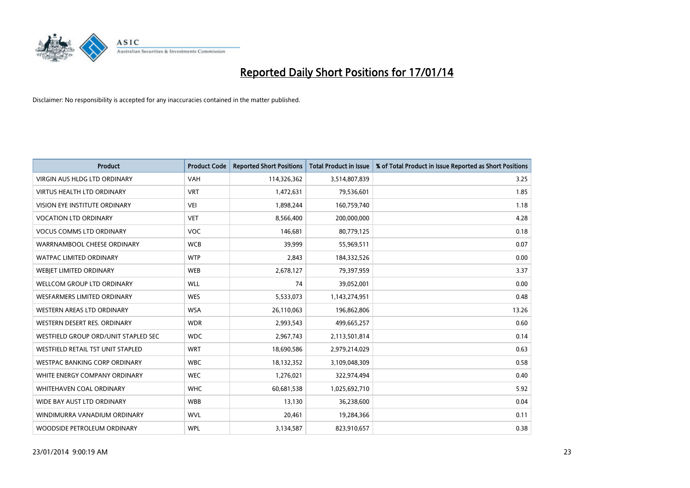

| <b>Product</b>                       | <b>Product Code</b> | <b>Reported Short Positions</b> | <b>Total Product in Issue</b> | % of Total Product in Issue Reported as Short Positions |
|--------------------------------------|---------------------|---------------------------------|-------------------------------|---------------------------------------------------------|
| VIRGIN AUS HLDG LTD ORDINARY         | <b>VAH</b>          | 114,326,362                     | 3,514,807,839                 | 3.25                                                    |
| <b>VIRTUS HEALTH LTD ORDINARY</b>    | <b>VRT</b>          | 1,472,631                       | 79,536,601                    | 1.85                                                    |
| <b>VISION EYE INSTITUTE ORDINARY</b> | <b>VEI</b>          | 1,898,244                       | 160,759,740                   | 1.18                                                    |
| <b>VOCATION LTD ORDINARY</b>         | <b>VET</b>          | 8,566,400                       | 200,000,000                   | 4.28                                                    |
| <b>VOCUS COMMS LTD ORDINARY</b>      | <b>VOC</b>          | 146,681                         | 80,779,125                    | 0.18                                                    |
| WARRNAMBOOL CHEESE ORDINARY          | <b>WCB</b>          | 39,999                          | 55,969,511                    | 0.07                                                    |
| <b>WATPAC LIMITED ORDINARY</b>       | <b>WTP</b>          | 2,843                           | 184,332,526                   | 0.00                                                    |
| WEBJET LIMITED ORDINARY              | <b>WEB</b>          | 2,678,127                       | 79,397,959                    | 3.37                                                    |
| WELLCOM GROUP LTD ORDINARY           | <b>WLL</b>          | 74                              | 39,052,001                    | 0.00                                                    |
| WESFARMERS LIMITED ORDINARY          | <b>WES</b>          | 5,533,073                       | 1,143,274,951                 | 0.48                                                    |
| WESTERN AREAS LTD ORDINARY           | <b>WSA</b>          | 26,110,063                      | 196,862,806                   | 13.26                                                   |
| WESTERN DESERT RES. ORDINARY         | <b>WDR</b>          | 2,993,543                       | 499,665,257                   | 0.60                                                    |
| WESTFIELD GROUP ORD/UNIT STAPLED SEC | <b>WDC</b>          | 2,967,743                       | 2,113,501,814                 | 0.14                                                    |
| WESTFIELD RETAIL TST UNIT STAPLED    | <b>WRT</b>          | 18,690,586                      | 2,979,214,029                 | 0.63                                                    |
| <b>WESTPAC BANKING CORP ORDINARY</b> | <b>WBC</b>          | 18,132,352                      | 3,109,048,309                 | 0.58                                                    |
| WHITE ENERGY COMPANY ORDINARY        | <b>WEC</b>          | 1,276,021                       | 322,974,494                   | 0.40                                                    |
| WHITEHAVEN COAL ORDINARY             | <b>WHC</b>          | 60,681,538                      | 1,025,692,710                 | 5.92                                                    |
| WIDE BAY AUST LTD ORDINARY           | <b>WBB</b>          | 13,130                          | 36,238,600                    | 0.04                                                    |
| WINDIMURRA VANADIUM ORDINARY         | <b>WVL</b>          | 20,461                          | 19,284,366                    | 0.11                                                    |
| WOODSIDE PETROLEUM ORDINARY          | <b>WPL</b>          | 3,134,587                       | 823,910,657                   | 0.38                                                    |